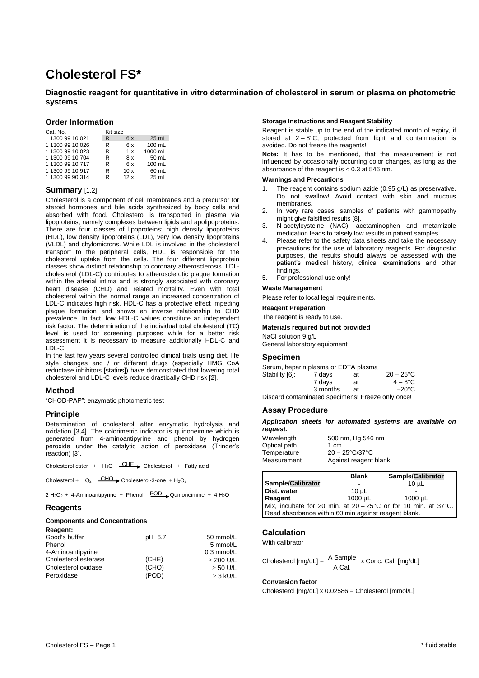# **Cholesterol FS\***

# **Diagnostic reagent for quantitative in vitro determination of cholesterol in serum or plasma on photometric systems**

## **Order Information**

| Cat. No.         | Kit size |     |         |
|------------------|----------|-----|---------|
| 1 1300 99 10 021 | R        | 6x  | 25 mL   |
| 1 1300 99 10 026 | R        | 6 x | 100 mL  |
| 1 1300 99 10 023 | R        | 1 x | 1000 mL |
| 1 1300 99 10 704 | R        | 8 x | 50 mL   |
| 1 1300 99 10 717 | R        | 6x  | 100 mL  |
| 1 1300 99 10 917 | R        | 10x | 60 mL   |
| 1 1300 99 90 314 | R        | 12x | $25$ mL |

# **Summary** [1,2]

Cholesterol is a component of cell membranes and a precursor for steroid hormones and bile acids synthesized by body cells and absorbed with food. Cholesterol is transported in plasma via lipoproteins, namely complexes between lipids and apolipoproteins. There are four classes of lipoproteins: high density lipoproteins (HDL), low density lipoproteins (LDL), very low density lipoproteins (VLDL) and chylomicrons. While LDL is involved in the cholesterol transport to the peripheral cells, HDL is responsible for the cholesterol uptake from the cells. The four different lipoprotein classes show distinct relationship to coronary atherosclerosis. LDLcholesterol (LDL-C) contributes to atherosclerotic plaque formation within the arterial intima and is strongly associated with coronary heart disease (CHD) and related mortality. Even with total cholesterol within the normal range an increased concentration of LDL-C indicates high risk. HDL-C has a protective effect impeding plaque formation and shows an inverse relationship to CHD prevalence. In fact, low HDL-C values constitute an independent risk factor. The determination of the individual total cholesterol (TC) level is used for screening purposes while for a better risk assessment it is necessary to measure additionally HDL-C and LDL-C.

In the last few years several controlled clinical trials using diet, life style changes and / or different drugs (especially HMG CoA reductase inhibitors [statins]) have demonstrated that lowering total cholesterol and LDL-C levels reduce drastically CHD risk [2].

# **Method**

"CHOD-PAP": enzymatic photometric test

# **Principle**

Determination of cholesterol after enzymatic hydrolysis and oxidation [3,4]. The colorimetric indicator is quinoneimine which is generated from 4-aminoantipyrine and phenol by hydrogen peroxide under the catalytic action of peroxidase (Trinder's reaction) [3].

| Cholesterol ester + $H_2O$ $CHE$ Cholesterol + Fatty acid |  |  |  |  |  |  |
|-----------------------------------------------------------|--|--|--|--|--|--|
|-----------------------------------------------------------|--|--|--|--|--|--|

Cholesterol +  $O_2$   $\longrightarrow$  Cholesterol-3-one + H<sub>2</sub>O<sub>2</sub>

 $2 H<sub>2</sub>O<sub>2</sub> + 4$ -Aminoantipyrine + Phenol  $POD$  Quinoneimine + 4 H<sub>2</sub>O

## **Reagents**

**Reagent:** 

#### **Components and Concentrations**

| ngay <del>c</del> iil. |        |                |
|------------------------|--------|----------------|
| Good's buffer          | pH 6.7 | 50 mmol/L      |
| Phenol                 |        | 5 mmol/L       |
| 4-Aminoantipyrine      |        | $0.3$ mmol/L   |
| Cholesterol esterase   | (CHE)  | $\geq$ 200 U/L |
| Cholesterol oxidase    | (CHO)  | $\geq$ 50 U/L  |
| Peroxidase             | (POD)  | $\geq$ 3 kU/L  |
|                        |        |                |

#### **Storage Instructions and Reagent Stability**

Reagent is stable up to the end of the indicated month of expiry, if stored at  $2 - 8^{\circ}$ C, protected from light and contamination is avoided. Do not freeze the reagents!

**Note:** It has to be mentioned, that the measurement is not influenced by occasionally occurring color changes, as long as the absorbance of the reagent is < 0.3 at 546 nm.

## **Warnings and Precautions**

- 1. The reagent contains sodium azide (0.95 g/L) as preservative. Do not swallow! Avoid contact with skin and mucous membranes.
- 2. In very rare cases, samples of patients with gammopathy might give falsified results [8].
- 3. N-acetylcysteine (NAC), acetaminophen and metamizole medication leads to falsely low results in patient samples.
- 4. Please refer to the safety data sheets and take the necessary precautions for the use of laboratory reagents. For diagnostic purposes, the results should always be assessed with the patient's medical history, clinical examinations and other findings.
- For professional use only!

#### **Waste Management**

Please refer to local legal requirements.

# **Reagent Preparation**

The reagent is ready to use.

#### **Materials required but not provided**

NaCl solution 9 g/L General laboratory equipment

#### **Specimen**

|                | Serum, heparin plasma or EDTA plasma |    |                                                   |
|----------------|--------------------------------------|----|---------------------------------------------------|
| Stability [6]: | 7 days                               | at | $20 - 25^{\circ}$ C                               |
|                | 7 davs                               | at | $4 - 8^{\circ}$ C                                 |
|                | 3 months                             | аt | $-20^{\circ}$ C                                   |
|                |                                      |    | Discard contaminated specimens! Freeze only once! |

#### **Assay Procedure**

*Application sheets for automated systems are available on request.*

| 500 nm, Hg 546 nm              |
|--------------------------------|
| 1 cm                           |
| $20 - 25^{\circ}C/37^{\circ}C$ |
| Against reagent blank          |
|                                |

|                                                      | <b>Blank</b> | <b>Sample/Calibrator</b>                                       |
|------------------------------------------------------|--------------|----------------------------------------------------------------|
| Sample/Calibrator                                    |              | $10u$ L                                                        |
| Dist. water                                          | $10 \mu L$   |                                                                |
| Reagent                                              | $1000 \mu L$ | 1000 µL                                                        |
|                                                      |              | Mix, incubate for 20 min. at 20 - 25°C or for 10 min. at 37°C. |
| Read absorbance within 60 min against reagent blank. |              |                                                                |

# **Calculation**

With calibrator

Cholesterol  $[mg/dL] = \frac{A \text{ Sample}}{A \times A} \times \text{Conc. Cal.}$  [mg/dL] A Cal.

# **Conversion factor**

Cholesterol [mg/dL] x 0.02586 = Cholesterol [mmol/L]